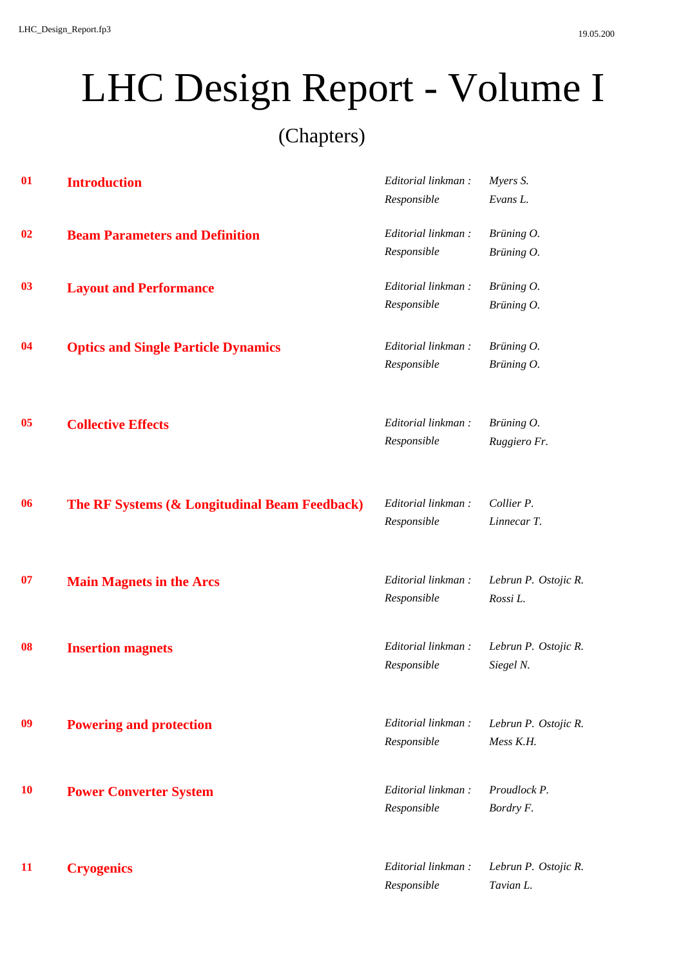(Chapters)

| 01        | <b>Introduction</b>                           | Editorial linkman: | Myers S.             |
|-----------|-----------------------------------------------|--------------------|----------------------|
|           |                                               | Responsible        | Evans L.             |
| 02        | <b>Beam Parameters and Definition</b>         | Editorial linkman: | Brüning O.           |
|           |                                               | Responsible        | Brüning O.           |
| 03        | <b>Layout and Performance</b>                 | Editorial linkman: | Brüning O.           |
|           |                                               | Responsible        | Brüning O.           |
| 04        | <b>Optics and Single Particle Dynamics</b>    | Editorial linkman: | Brüning O.           |
|           |                                               | Responsible        | Brüning O.           |
| 05        | <b>Collective Effects</b>                     | Editorial linkman: | Brüning O.           |
|           |                                               | Responsible        | Ruggiero Fr.         |
| 06        | The RF Systems (& Longitudinal Beam Feedback) | Editorial linkman: | Collier P.           |
|           |                                               | Responsible        | Linnecar T.          |
| 07        | <b>Main Magnets in the Arcs</b>               | Editorial linkman: | Lebrun P. Ostojic R. |
|           |                                               | Responsible        | Rossi L.             |
| 08        | <b>Insertion magnets</b>                      | Editorial linkman: | Lebrun P. Ostojic R. |
|           |                                               | Responsible        | Siegel N.            |
| 09        | <b>Powering and protection</b>                | Editorial linkman: | Lebrun P. Ostojic R. |
|           |                                               | Responsible        | Mess K.H.            |
| <b>10</b> | <b>Power Converter System</b>                 | Editorial linkman: | Proudlock P.         |
|           |                                               | Responsible        | Bordry F.            |
| 11        | <b>Cryogenics</b>                             | Editorial linkman: | Lebrun P. Ostojic R. |
|           |                                               | Responsible        | Tavian L.            |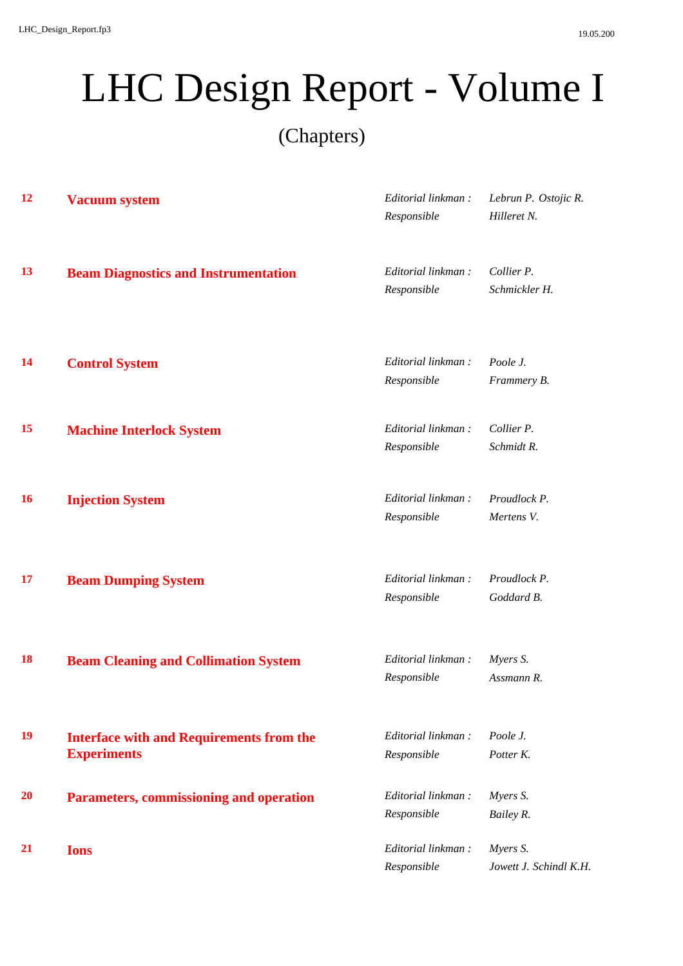(Chapters)

| 12        | <b>Vacuum system</b>                                                  | Editorial linkman:<br>Responsible | Lebrun P. Ostojic R.<br>Hilleret N. |
|-----------|-----------------------------------------------------------------------|-----------------------------------|-------------------------------------|
| 13        | <b>Beam Diagnostics and Instrumentation</b>                           | Editorial linkman:<br>Responsible | Collier P.<br>Schmickler H.         |
| <b>14</b> | <b>Control System</b>                                                 | Editorial linkman:<br>Responsible | Poole J.<br>Frammery B.             |
| 15        | <b>Machine Interlock System</b>                                       | Editorial linkman:<br>Responsible | Collier P.<br>Schmidt R.            |
| <b>16</b> | <b>Injection System</b>                                               | Editorial linkman:<br>Responsible | Proudlock P.<br>Mertens V.          |
| 17        | <b>Beam Dumping System</b>                                            | Editorial linkman:<br>Responsible | Proudlock P.<br>Goddard B.          |
| 18        | <b>Beam Cleaning and Collimation System</b>                           | Editorial linkman:<br>Responsible | Myers S.<br>Assmann R.              |
| 19        | <b>Interface with and Requirements from the</b><br><b>Experiments</b> | Editorial linkman:<br>Responsible | Poole J.<br>Potter K.               |
| 20        | Parameters, commissioning and operation                               | Editorial linkman:<br>Responsible | Myers S.<br>Bailey R.               |
| 21        | <b>Ions</b>                                                           | Editorial linkman:<br>Responsible | Myers S.<br>Jowett J. Schindl K.H.  |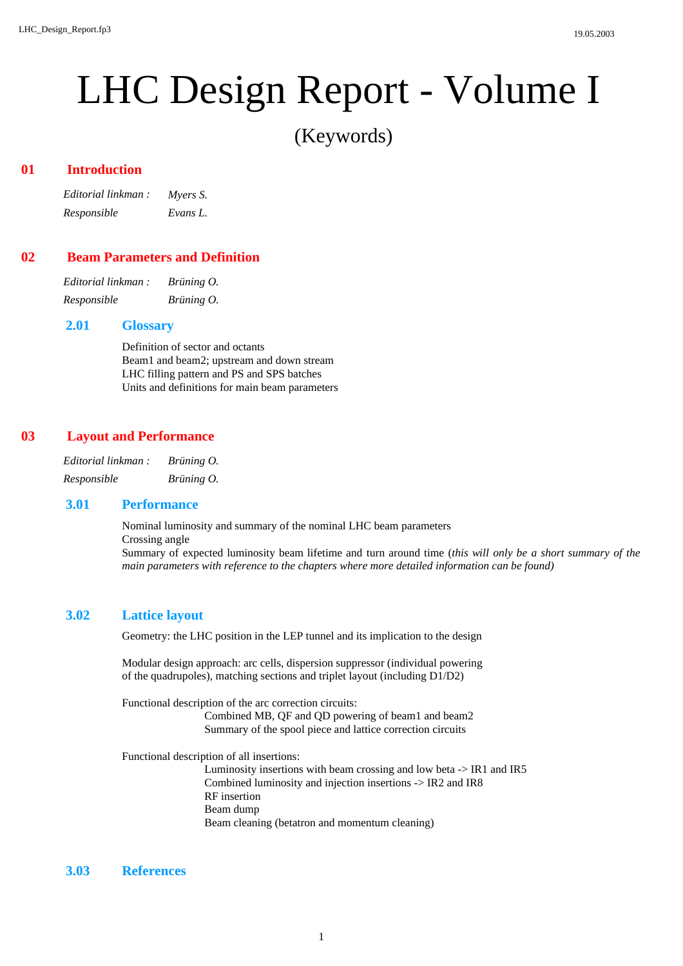(Keywords)

### **Introduction 01**

*Editorial linkman : Myers S. Responsible Evans L.*

## **Beam Parameters and Definition 02**

| Editorial linkman : | Brüning O. |
|---------------------|------------|
| Responsible         | Brüning O. |

#### **Glossary 2.01**

Definition of sector and octants Beam1 and beam2; upstream and down stream LHC filling pattern and PS and SPS batches Units and definitions for main beam parameters

### **Layout and Performance 03**

| Editorial linkman : | Brüning $O$ . |
|---------------------|---------------|
| Responsible         | Brüning O.    |

#### **Performance 3.01**

Nominal luminosity and summary of the nominal LHC beam parameters

Crossing angle

Summary of expected luminosity beam lifetime and turn around time (*this will only be a short summary of the main parameters with reference to the chapters where more detailed information can be found)*

### **Lattice layout 3.02**

Geometry: the LHC position in the LEP tunnel and its implication to the design

Modular design approach: arc cells, dispersion suppressor (individual powering of the quadrupoles), matching sections and triplet layout (including D1/D2)

Functional description of the arc correction circuits:

Combined MB, QF and QD powering of beam1 and beam2 Summary of the spool piece and lattice correction circuits

Functional description of all insertions:

Luminosity insertions with beam crossing and low beta -> IR1 and IR5 Combined luminosity and injection insertions -> IR2 and IR8 RF insertion Beam dump Beam cleaning (betatron and momentum cleaning)

## **3.03 References**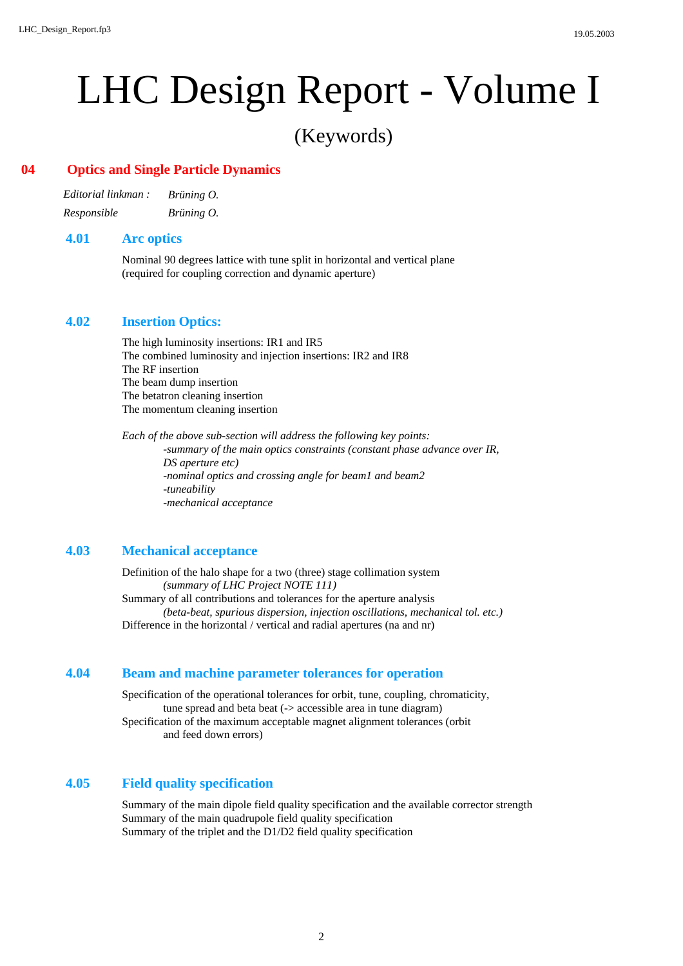## (Keywords)

## **Optics and Single Particle Dynamics 04**

| Editorial linkman : | Brüning $O$ . |
|---------------------|---------------|
| Responsible         | Brüning O.    |

## **Arc optics 4.01**

Nominal 90 degrees lattice with tune split in horizontal and vertical plane (required for coupling correction and dynamic aperture)

## **Insertion Optics: 4.02**

The high luminosity insertions: IR1 and IR5 The combined luminosity and injection insertions: IR2 and IR8 The RF insertion The beam dump insertion The betatron cleaning insertion The momentum cleaning insertion

*Each of the above sub-section will address the following key points: -summary of the main optics constraints (constant phase advance over IR, DS aperture etc) -nominal optics and crossing angle for beam1 and beam2 -tuneability -mechanical acceptance*

## **Mechanical acceptance 4.03**

Definition of the halo shape for a two (three) stage collimation system *(summary of LHC Project NOTE 111)* Summary of all contributions and tolerances for the aperture analysis *(beta-beat, spurious dispersion, injection oscillations, mechanical tol. etc.)* Difference in the horizontal / vertical and radial apertures (na and nr)

### **Beam and machine parameter tolerances for operation 4.04**

Specification of the operational tolerances for orbit, tune, coupling, chromaticity, tune spread and beta beat (-> accessible area in tune diagram) Specification of the maximum acceptable magnet alignment tolerances (orbit and feed down errors)

## **Field quality specification 4.05**

Summary of the main dipole field quality specification and the available corrector strength Summary of the main quadrupole field quality specification Summary of the triplet and the D1/D2 field quality specification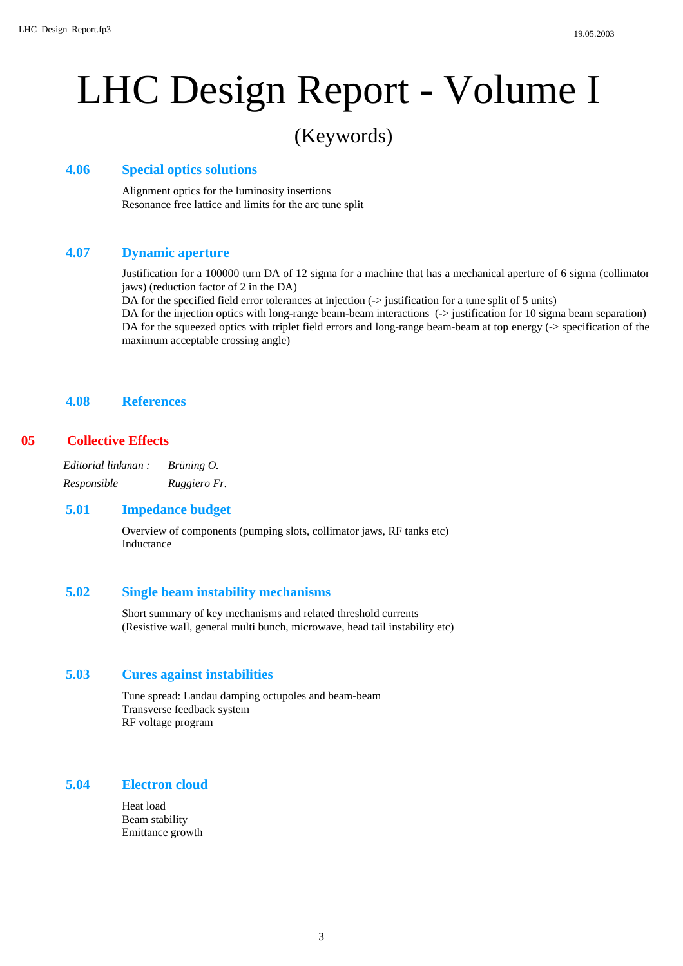## (Keywords)

## **Special optics solutions 4.06**

Alignment optics for the luminosity insertions Resonance free lattice and limits for the arc tune split

## **Dynamic aperture 4.07**

Justification for a 100000 turn DA of 12 sigma for a machine that has a mechanical aperture of 6 sigma (collimator jaws) (reduction factor of 2 in the DA)

DA for the specified field error tolerances at injection (-> justification for a tune split of 5 units)

DA for the injection optics with long-range beam-beam interactions (-> justification for 10 sigma beam separation) DA for the squeezed optics with triplet field errors and long-range beam-beam at top energy (-> specification of the maximum acceptable crossing angle)

## **4.08 References**

## **Collective Effects 05**

*Editorial linkman : Brüning O. Responsible Ruggiero Fr.*

## **Impedance budget 5.01**

Overview of components (pumping slots, collimator jaws, RF tanks etc) Inductance

## **Single beam instability mechanisms 5.02**

Short summary of key mechanisms and related threshold currents (Resistive wall, general multi bunch, microwave, head tail instability etc)

## **Cures against instabilities 5.03**

Tune spread: Landau damping octupoles and beam-beam Transverse feedback system RF voltage program

## **Electron cloud 5.04**

Heat load Beam stability Emittance growth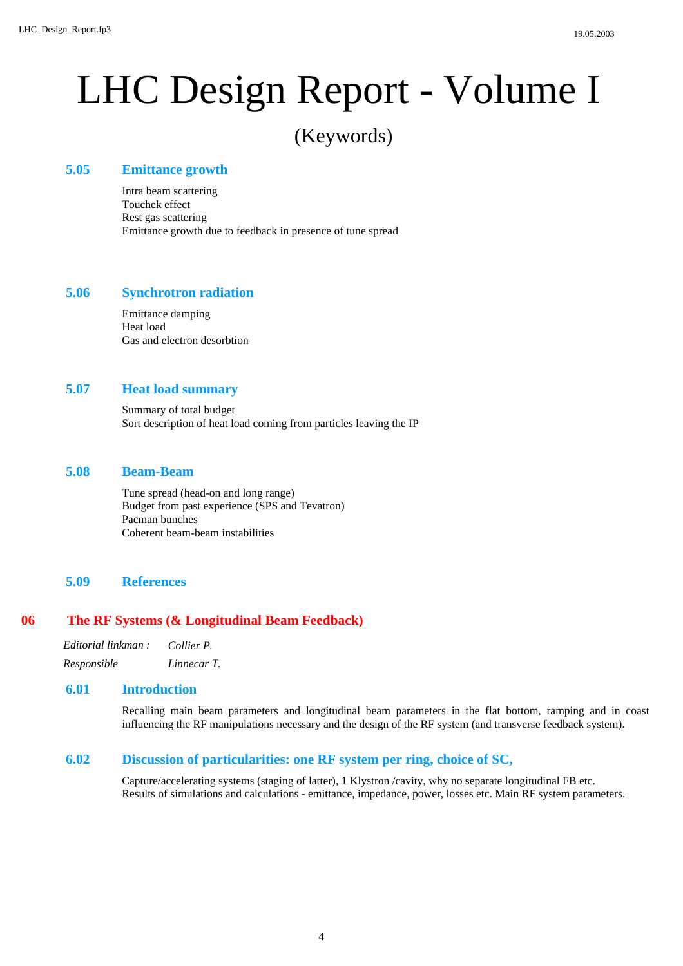## (Keywords)

## **Emittance growth 5.05**

Intra beam scattering Touchek effect Rest gas scattering Emittance growth due to feedback in presence of tune spread

## **Synchrotron radiation 5.06**

Emittance damping Heat load Gas and electron desorbtion

## **Heat load summary 5.07**

Summary of total budget Sort description of heat load coming from particles leaving the IP

## **Beam-Beam 5.08**

Tune spread (head-on and long range) Budget from past experience (SPS and Tevatron) Pacman bunches Coherent beam-beam instabilities

## **5.09 References**

## **The RF Systems (& Longitudinal Beam Feedback) 06**

| Editorial linkman : | Collier P.  |
|---------------------|-------------|
| Responsible         | Linnecar T. |

## **Introduction 6.01**

Recalling main beam parameters and longitudinal beam parameters in the flat bottom, ramping and in coast influencing the RF manipulations necessary and the design of the RF system (and transverse feedback system).

## **Discussion of particularities: one RF system per ring, choice of SC, 6.02**

Capture/accelerating systems (staging of latter), 1 Klystron /cavity, why no separate longitudinal FB etc. Results of simulations and calculations - emittance, impedance, power, losses etc. Main RF system parameters.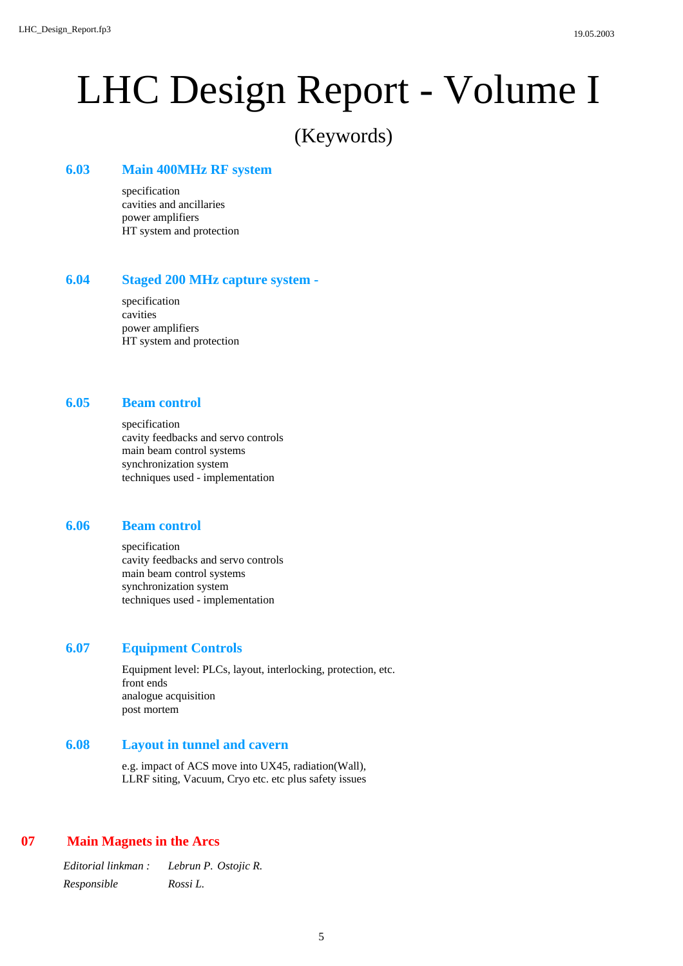## (Keywords)

## **Main 400MHz RF system 6.03**

specification cavities and ancillaries power amplifiers HT system and protection

#### **Staged 200 MHz capture system - 6.04**

specification cavities power amplifiers HT system and protection

### **Beam control 6.05**

specification cavity feedbacks and servo controls main beam control systems synchronization system techniques used - implementation

### **Beam control 6.06**

specification cavity feedbacks and servo controls main beam control systems synchronization system techniques used - implementation

## **Equipment Controls 6.07**

Equipment level: PLCs, layout, interlocking, protection, etc. front ends analogue acquisition post mortem

## **Layout in tunnel and cavern 6.08**

e.g. impact of ACS move into UX45, radiation(Wall), LLRF siting, Vacuum, Cryo etc. etc plus safety issues

## **Main Magnets in the Arcs 07**

*Editorial linkman : Lebrun P. Ostojic R. Responsible Rossi L.*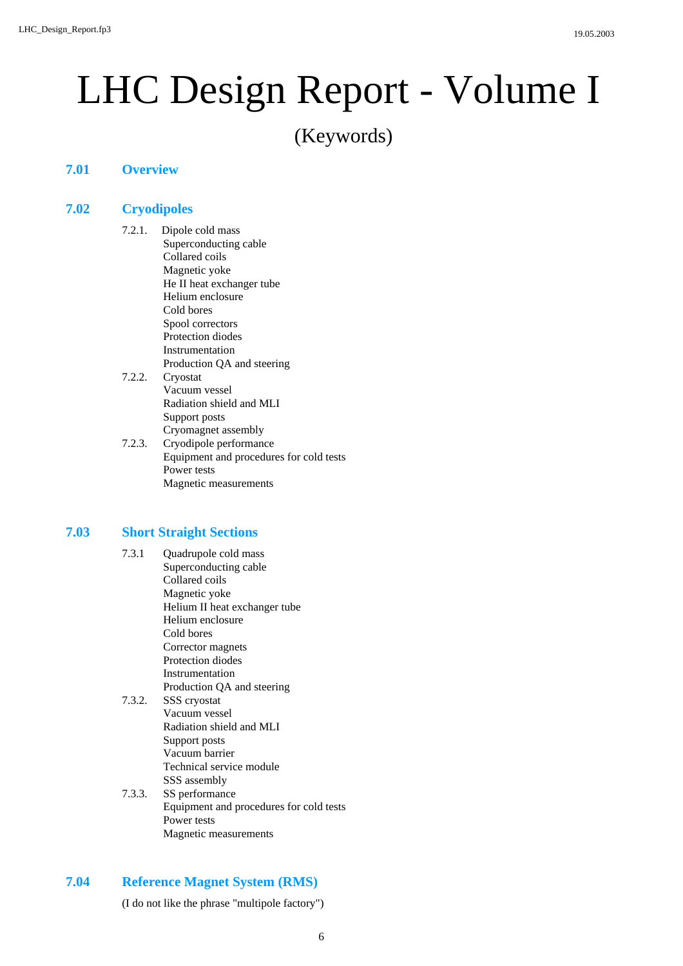(Keywords)

## **7.01 Overview**

## **Cryodipoles 7.02**

- 7.2.1. Dipole cold mass Superconducting cable Collared coils Magnetic yoke He II heat exchanger tube Helium enclosure Cold bores Spool correctors Protection diodes Instrumentation Production QA and steering 7.2.2. Cryostat Vacuum vessel Radiation shield and MLI Support posts Cryomagnet assembly
- 7.2.3. Cryodipole performance Equipment and procedures for cold tests Power tests Magnetic measurements

## **Short Straight Sections 7.03**

- 7.3.1 Quadrupole cold mass Superconducting cable Collared coils Magnetic yoke Helium II heat exchanger tube Helium enclosure Cold bores Corrector magnets Protection diodes Instrumentation Production QA and steering 7.3.2. SSS cryostat
- Vacuum vessel Radiation shield and MLI Support posts Vacuum barrier Technical service module SSS assembly
- 7.3.3. SS performance Equipment and procedures for cold tests Power tests Magnetic measurements

## **Reference Magnet System (RMS) 7.04**

(I do not like the phrase "multipole factory")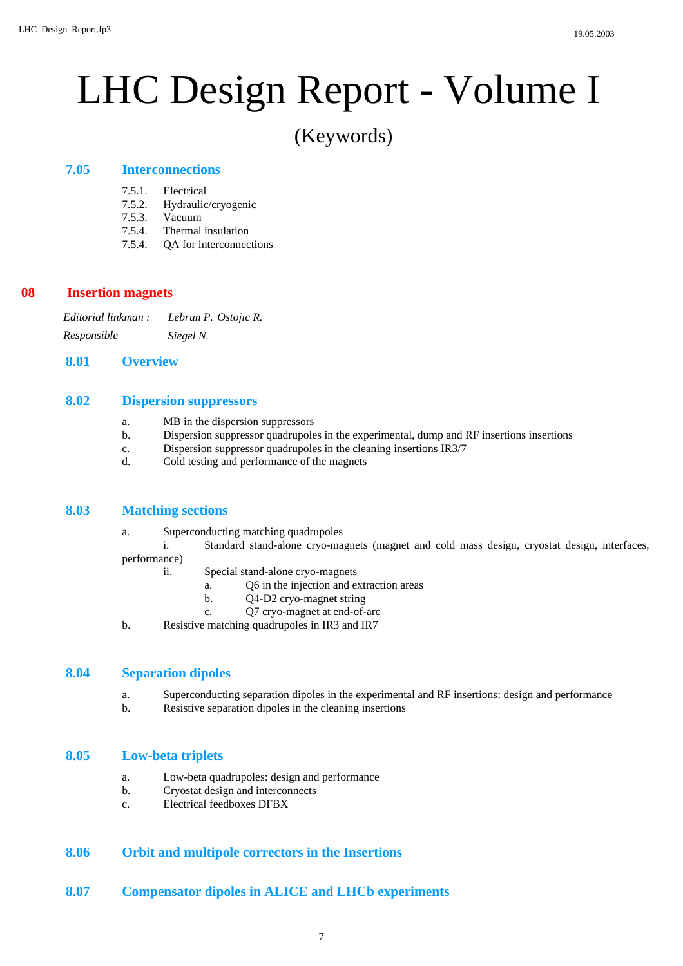## (Keywords)

## **Interconnections 7.05**

- 7.5.1. Electrical
- 7.5.2. Hydraulic/cryogenic
- 7.5.3. Vacuum
- 7.5.4. Thermal insulation
- 7.5.4. QA for interconnections

### **Insertion magnets 08**

*Editorial linkman : Lebrun P. Ostojic R. Responsible Siegel N.*

## **8.01 Overview**

### **Dispersion suppressors 8.02**

- a. MB in the dispersion suppressors
- b. Dispersion suppressor quadrupoles in the experimental, dump and RF insertions insertions
- c. Dispersion suppressor quadrupoles in the cleaning insertions IR3/7
- d. Cold testing and performance of the magnets

## **Matching sections 8.03**

a. Superconducting matching quadrupoles

i. Standard stand-alone cryo-magnets (magnet and cold mass design, cryostat design, interfaces,

performance)

- ii. Special stand-alone cryo-magnets
	- a. Q6 in the injection and extraction areas
	- b. Q4-D2 cryo-magnet string
	- c. Q7 cryo-magnet at end-of-arc
- b. Resistive matching quadrupoles in IR3 and IR7

## **Separation dipoles 8.04**

- a. Superconducting separation dipoles in the experimental and RF insertions: design and performance
- b. Resistive separation dipoles in the cleaning insertions

## **Low-beta triplets 8.05**

- a. Low-beta quadrupoles: design and performance
- b. Cryostat design and interconnects
- c. Electrical feedboxes DFBX

## **8.06 Orbit and multipole correctors in the Insertions**

**8.07 Compensator dipoles in ALICE and LHCb experiments**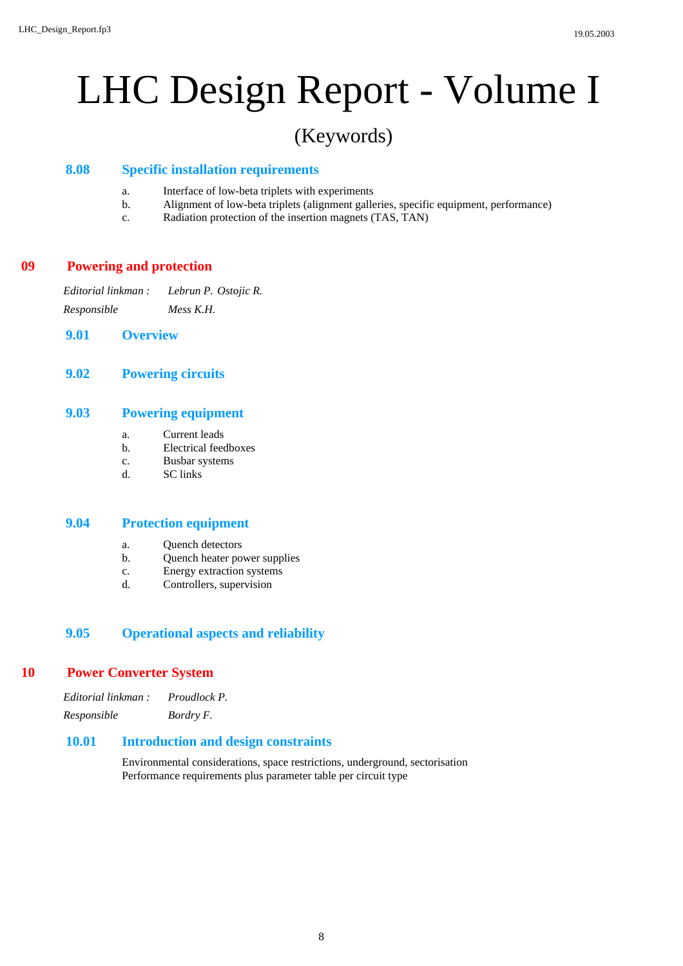## (Keywords)

## **Specific installation requirements 8.08**

- a. Interface of low-beta triplets with experiments
- b. Alignment of low-beta triplets (alignment galleries, specific equipment, performance)
- c. Radiation protection of the insertion magnets (TAS, TAN)

## **Powering and protection 09**

*Editorial linkman : Lebrun P. Ostojic R. Responsible Mess K.H.*

- **9.01 Overview**
- **9.02 Powering circuits**

## **Powering equipment 9.03**

- a. Current leads
- b. Electrical feedboxes
- c. Busbar systems
- d. SC links

## **Protection equipment 9.04**

- a. Quench detectors
- b. Quench heater power supplies
- c. Energy extraction systems
- d. Controllers, supervision

## **9.05 Operational aspects and reliability**

## **Power Converter System 10**

| Editorial linkman : | Proudlock P. |
|---------------------|--------------|
| Responsible         | Bordry F.    |

## **Introduction and design constraints 10.01**

Environmental considerations, space restrictions, underground, sectorisation Performance requirements plus parameter table per circuit type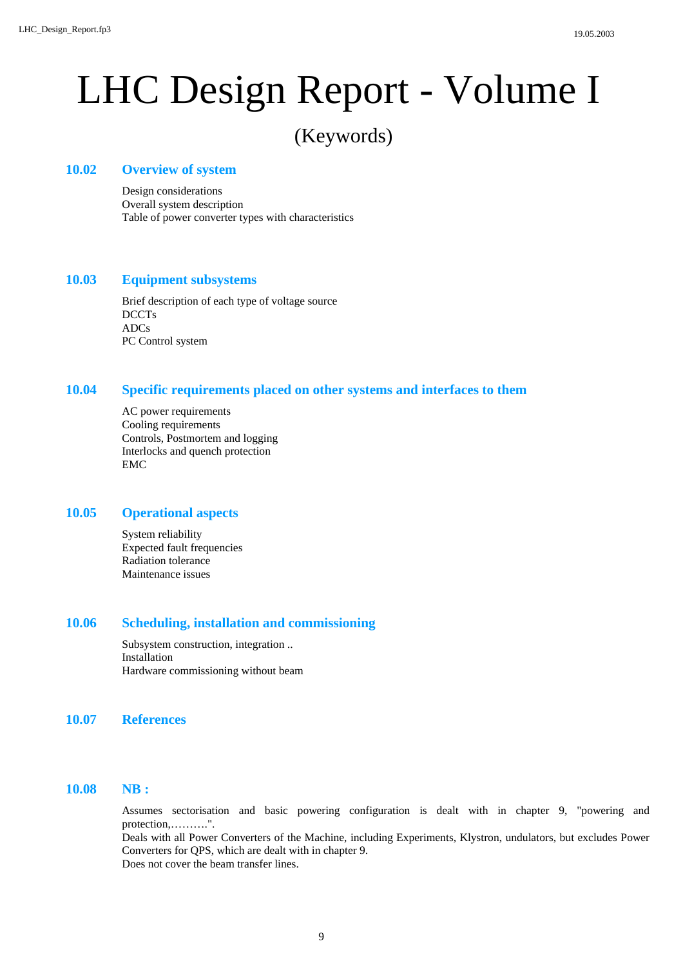## (Keywords)

## **Overview of system 10.02**

Design considerations Overall system description Table of power converter types with characteristics

### **Equipment subsystems 10.03**

Brief description of each type of voltage source DCCTs ADCs PC Control system

## **Specific requirements placed on other systems and interfaces to them 10.04**

AC power requirements Cooling requirements Controls, Postmortem and logging Interlocks and quench protection EMC

## **Operational aspects 10.05**

System reliability Expected fault frequencies Radiation tolerance Maintenance issues

## **Scheduling, installation and commissioning 10.06**

Subsystem construction, integration .. Installation Hardware commissioning without beam

## **10.07 References**

## **NB : 10.08**

Assumes sectorisation and basic powering configuration is dealt with in chapter 9, "powering and protection,……….". Deals with all Power Converters of the Machine, including Experiments, Klystron, undulators, but excludes Power Converters for QPS, which are dealt with in chapter 9. Does not cover the beam transfer lines.

9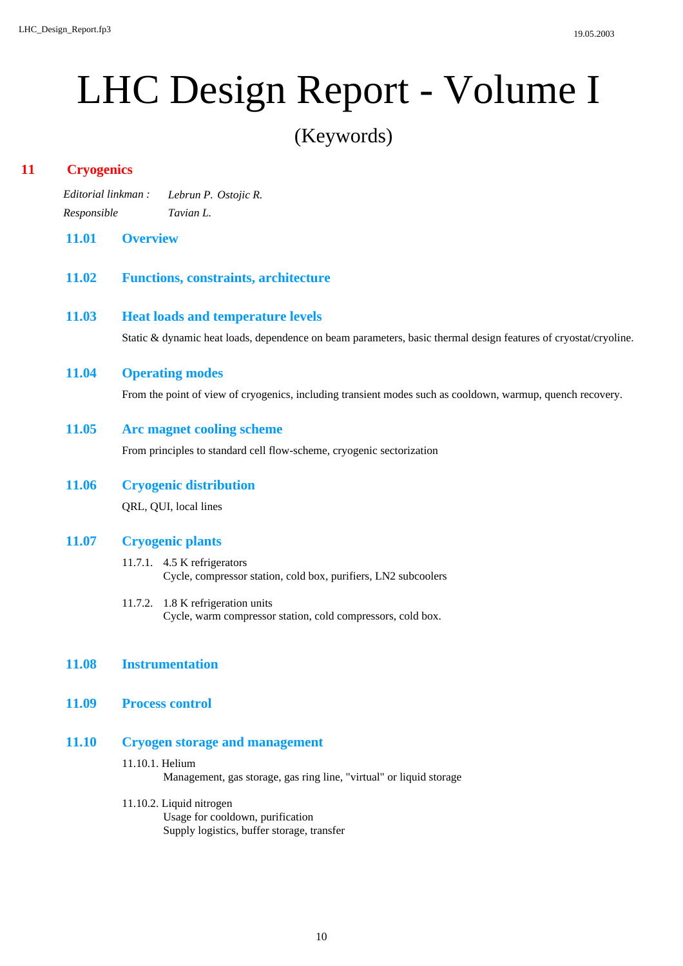(Keywords)

## **Cryogenics 11**

- *Editorial linkman : Lebrun P. Ostojic R. Responsible Tavian L.*
- **11.01 Overview**
- **11.02 Functions, constraints, architecture**

## **Heat loads and temperature levels 11.03**

Static & dynamic heat loads, dependence on beam parameters, basic thermal design features of cryostat/cryoline.

## **Operating modes 11.04**

From the point of view of cryogenics, including transient modes such as cooldown, warmup, quench recovery.

## **Arc magnet cooling scheme 11.05**

From principles to standard cell flow-scheme, cryogenic sectorization

**Cryogenic distribution** QRL, QUI, local lines **11.06**

## **Cryogenic plants 11.07**

- 11.7.1. 4.5 K refrigerators Cycle, compressor station, cold box, purifiers, LN2 subcoolers
- 11.7.2. 1.8 K refrigeration units Cycle, warm compressor station, cold compressors, cold box.

## **11.08 Instrumentation**

**11.09 Process control**

## **Cryogen storage and management 11.10**

## 11.10.1. Helium Management, gas storage, gas ring line, "virtual" or liquid storage

- 11.10.2. Liquid nitrogen
	- Usage for cooldown, purification Supply logistics, buffer storage, transfer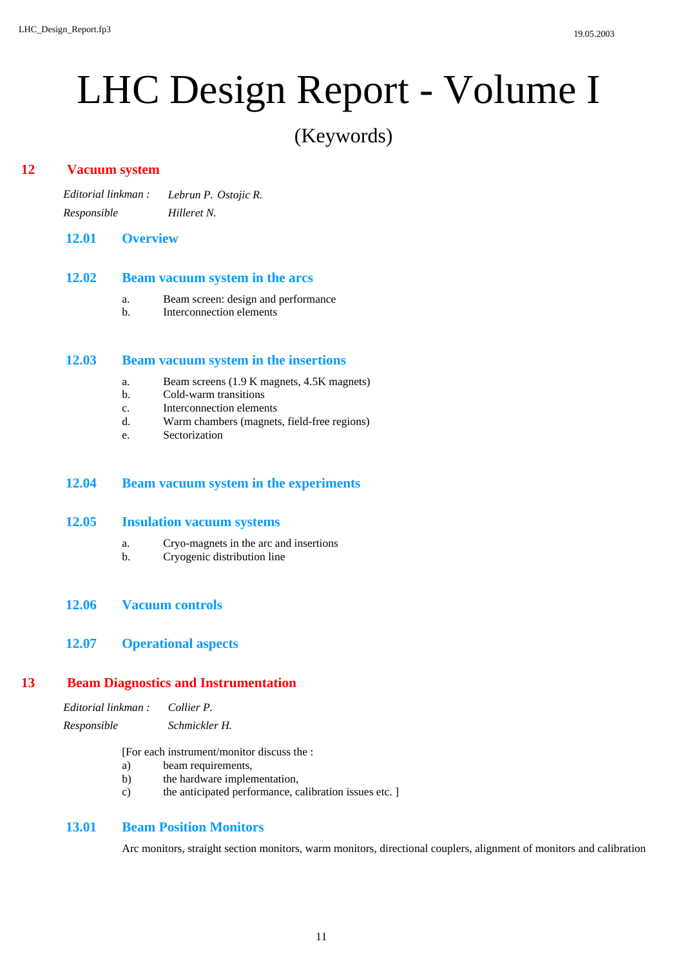(Keywords)

## **Vacuum system 12**

*Editorial linkman : Lebrun P. Ostojic R. Responsible Hilleret N.*

## **12.01 Overview**

### **Beam vacuum system in the arcs 12.02**

- a. Beam screen: design and performance
- b. Interconnection elements

#### **Beam vacuum system in the insertions 12.03**

- a. Beam screens (1.9 K magnets, 4.5K magnets)
- b. Cold-warm transitions
- c. Interconnection elements
- d. Warm chambers (magnets, field-free regions)
- e. Sectorization

## **12.04 Beam vacuum system in the experiments**

## **Insulation vacuum systems 12.05**

- a. Cryo-magnets in the arc and insertions
- b. Cryogenic distribution line
- **12.06 Vacuum controls**

## **12.07 Operational aspects**

## **Beam Diagnostics and Instrumentation 13**

| Editorial linkman : | Collier P.    |
|---------------------|---------------|
| Responsible         | Schmickler H. |

[For each instrument/monitor discuss the :

- a) beam requirements,
- b) the hardware implementation,
- c) the anticipated performance, calibration issues etc. ]

## **Beam Position Monitors 13.01**

Arc monitors, straight section monitors, warm monitors, directional couplers, alignment of monitors and calibration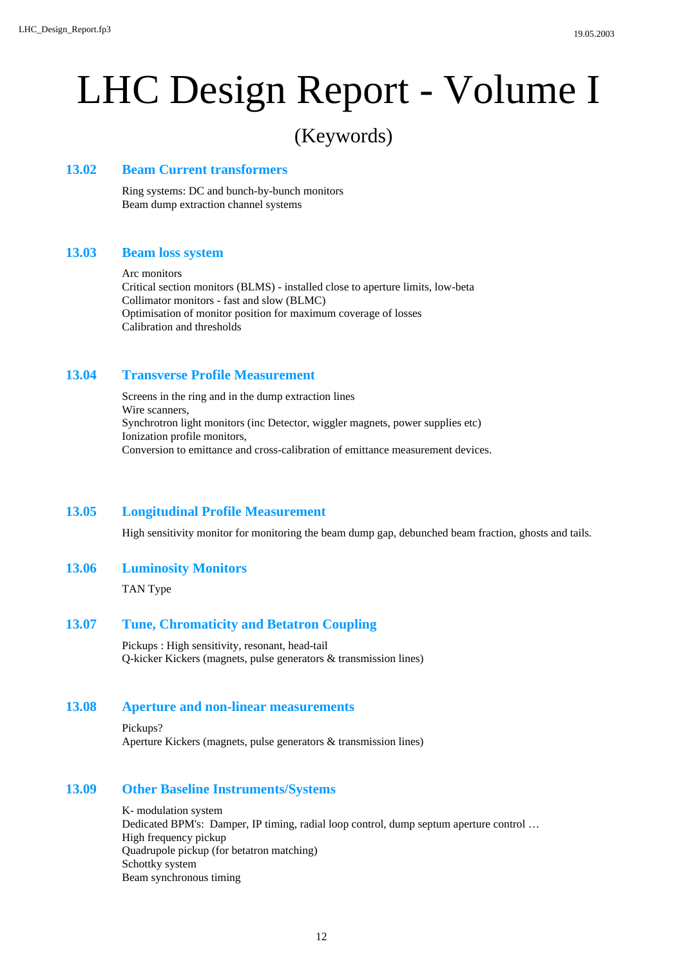## (Keywords)

## **Beam Current transformers 13.02**

Ring systems: DC and bunch-by-bunch monitors Beam dump extraction channel systems

## **Beam loss system 13.03**

## Arc monitors

Critical section monitors (BLMS) - installed close to aperture limits, low-beta Collimator monitors - fast and slow (BLMC) Optimisation of monitor position for maximum coverage of losses Calibration and thresholds

## **Transverse Profile Measurement 13.04**

Screens in the ring and in the dump extraction lines Wire scanners, Synchrotron light monitors (inc Detector, wiggler magnets, power supplies etc) Ionization profile monitors, Conversion to emittance and cross-calibration of emittance measurement devices.

## **Longitudinal Profile Measurement 13.05**

High sensitivity monitor for monitoring the beam dump gap, debunched beam fraction, ghosts and tails.

### **Luminosity Monitors 13.06**

TAN Type

## **Tune, Chromaticity and Betatron Coupling 13.07**

Pickups : High sensitivity, resonant, head-tail Q-kicker Kickers (magnets, pulse generators & transmission lines)

## **Aperture and non-linear measurements 13.08**

Pickups? Aperture Kickers (magnets, pulse generators & transmission lines)

### **Other Baseline Instruments/Systems 13.09**

K- modulation system Dedicated BPM's: Damper, IP timing, radial loop control, dump septum aperture control … High frequency pickup Quadrupole pickup (for betatron matching) Schottky system Beam synchronous timing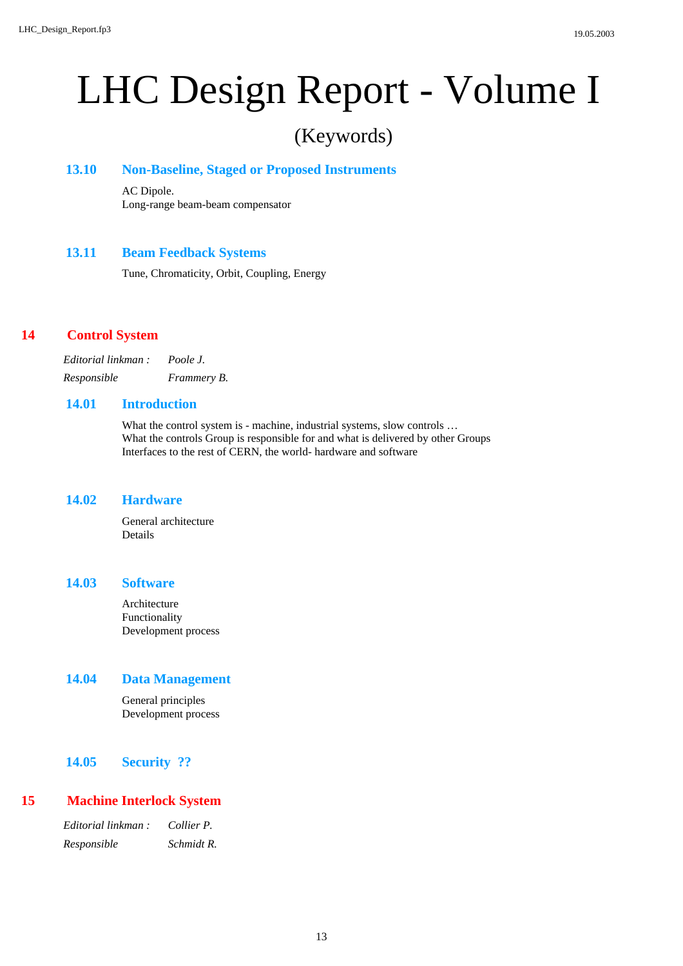## (Keywords)

## **Non-Baseline, Staged or Proposed Instruments 13.10**

AC Dipole. Long-range beam-beam compensator

## **Beam Feedback Systems 13.11**

Tune, Chromaticity, Orbit, Coupling, Energy

## **Control System 14**

*Editorial linkman : Poole J. Responsible Frammery B.*

## **Introduction 14.01**

What the control system is - machine, industrial systems, slow controls ... What the controls Group is responsible for and what is delivered by other Groups Interfaces to the rest of CERN, the world- hardware and software

## **Hardware 14.02**

General architecture Details

### **Software 14.03**

Architecture Functionality Development process

## **Data Management 14.04**

General principles Development process

## **14.05 Security ??**

## **Machine Interlock System 15**

*Editorial linkman : Collier P. Responsible Schmidt R.*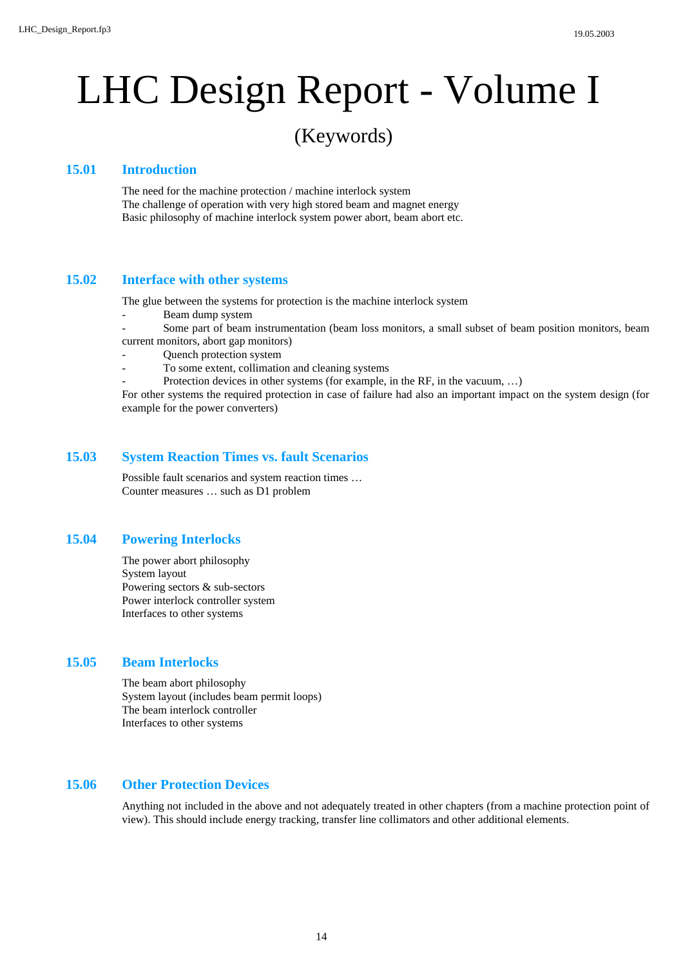## (Keywords)

## **Introduction 15.01**

The need for the machine protection / machine interlock system The challenge of operation with very high stored beam and magnet energy Basic philosophy of machine interlock system power abort, beam abort etc.

## **Interface with other systems 15.02**

The glue between the systems for protection is the machine interlock system

- Beam dump system
- Some part of beam instrumentation (beam loss monitors, a small subset of beam position monitors, beam
- current monitors, abort gap monitors)
- Quench protection system
- To some extent, collimation and cleaning systems
- Protection devices in other systems (for example, in the RF, in the vacuum, ...)

For other systems the required protection in case of failure had also an important impact on the system design (for example for the power converters)

## **System Reaction Times vs. fault Scenarios 15.03**

Possible fault scenarios and system reaction times … Counter measures … such as D1 problem

## **Powering Interlocks 15.04**

The power abort philosophy System layout Powering sectors & sub-sectors Power interlock controller system Interfaces to other systems

## **Beam Interlocks 15.05**

The beam abort philosophy System layout (includes beam permit loops) The beam interlock controller Interfaces to other systems

## **Other Protection Devices 15.06**

Anything not included in the above and not adequately treated in other chapters (from a machine protection point of view). This should include energy tracking, transfer line collimators and other additional elements.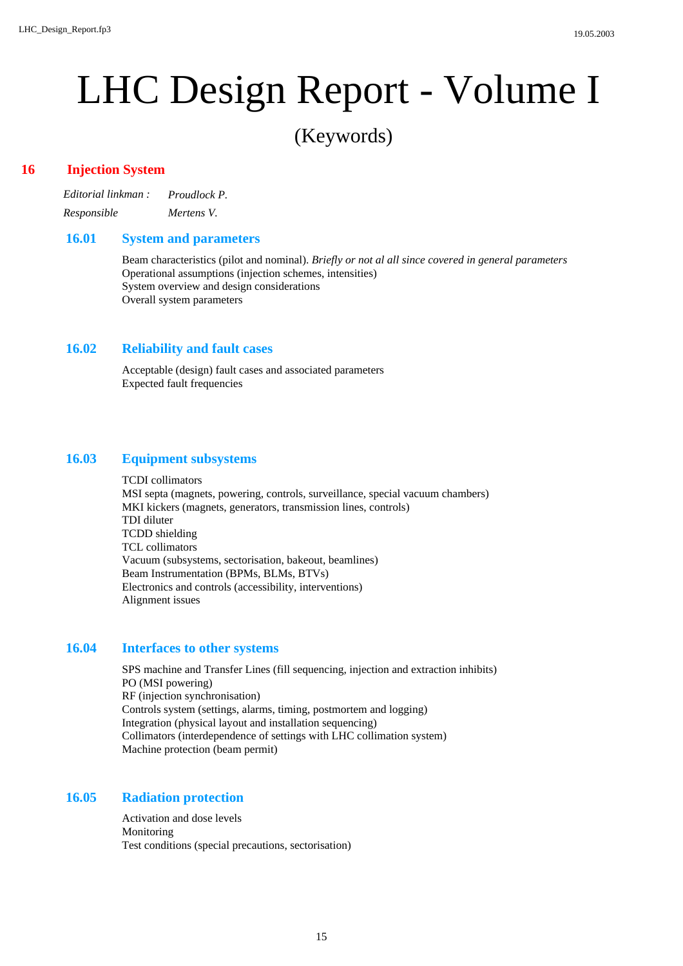(Keywords)

## **Injection System 16**

*Editorial linkman : Proudlock P. Responsible Mertens V.*

## **System and parameters 16.01**

Beam characteristics (pilot and nominal). *Briefly or not al all since covered in general parameters* Operational assumptions (injection schemes, intensities) System overview and design considerations Overall system parameters

## **Reliability and fault cases 16.02**

Acceptable (design) fault cases and associated parameters Expected fault frequencies

## **Equipment subsystems 16.03**

TCDI collimators MSI septa (magnets, powering, controls, surveillance, special vacuum chambers) MKI kickers (magnets, generators, transmission lines, controls) TDI diluter TCDD shielding TCL collimators Vacuum (subsystems, sectorisation, bakeout, beamlines) Beam Instrumentation (BPMs, BLMs, BTVs) Electronics and controls (accessibility, interventions) Alignment issues

## **Interfaces to other systems 16.04**

SPS machine and Transfer Lines (fill sequencing, injection and extraction inhibits) PO (MSI powering) RF (injection synchronisation) Controls system (settings, alarms, timing, postmortem and logging) Integration (physical layout and installation sequencing) Collimators (interdependence of settings with LHC collimation system) Machine protection (beam permit)

## **Radiation protection 16.05**

Activation and dose levels Monitoring Test conditions (special precautions, sectorisation)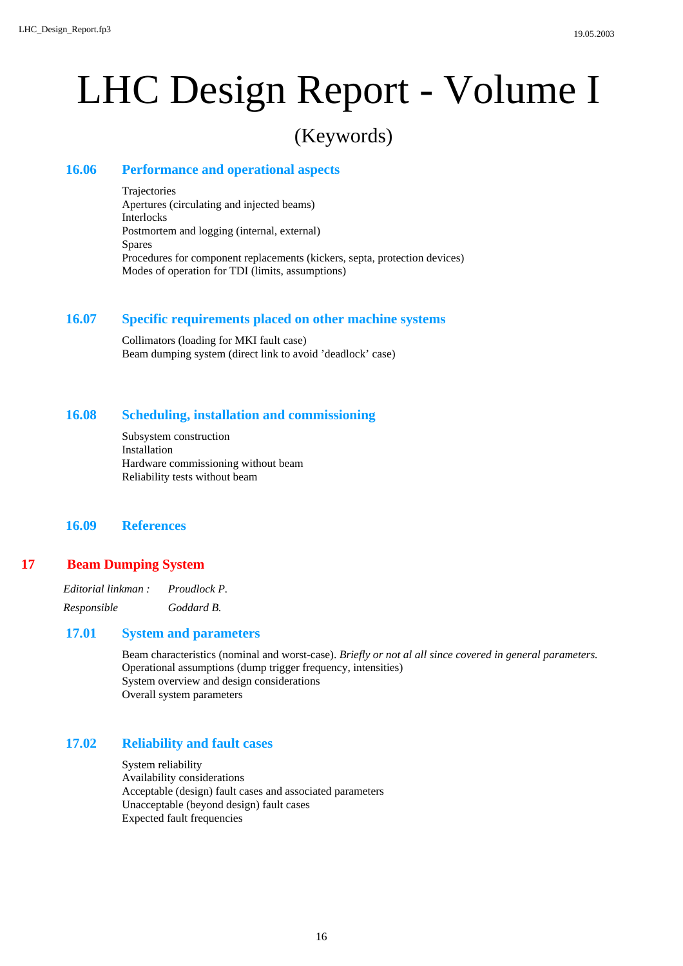## (Keywords)

## **Performance and operational aspects 16.06**

Trajectories Apertures (circulating and injected beams) Interlocks Postmortem and logging (internal, external) Spares Procedures for component replacements (kickers, septa, protection devices) Modes of operation for TDI (limits, assumptions)

## **Specific requirements placed on other machine systems 16.07**

Collimators (loading for MKI fault case) Beam dumping system (direct link to avoid 'deadlock' case)

### **Scheduling, installation and commissioning 16.08**

Subsystem construction Installation Hardware commissioning without beam Reliability tests without beam

**16.09 References**

## **Beam Dumping System 17**

| Editorial linkman : | Proudlock P. |
|---------------------|--------------|
| Responsible         | Goddard B.   |

## **System and parameters 17.01**

Beam characteristics (nominal and worst-case). *Briefly or not al all since covered in general parameters.* Operational assumptions (dump trigger frequency, intensities) System overview and design considerations Overall system parameters

#### **Reliability and fault cases 17.02**

System reliability Availability considerations Acceptable (design) fault cases and associated parameters Unacceptable (beyond design) fault cases Expected fault frequencies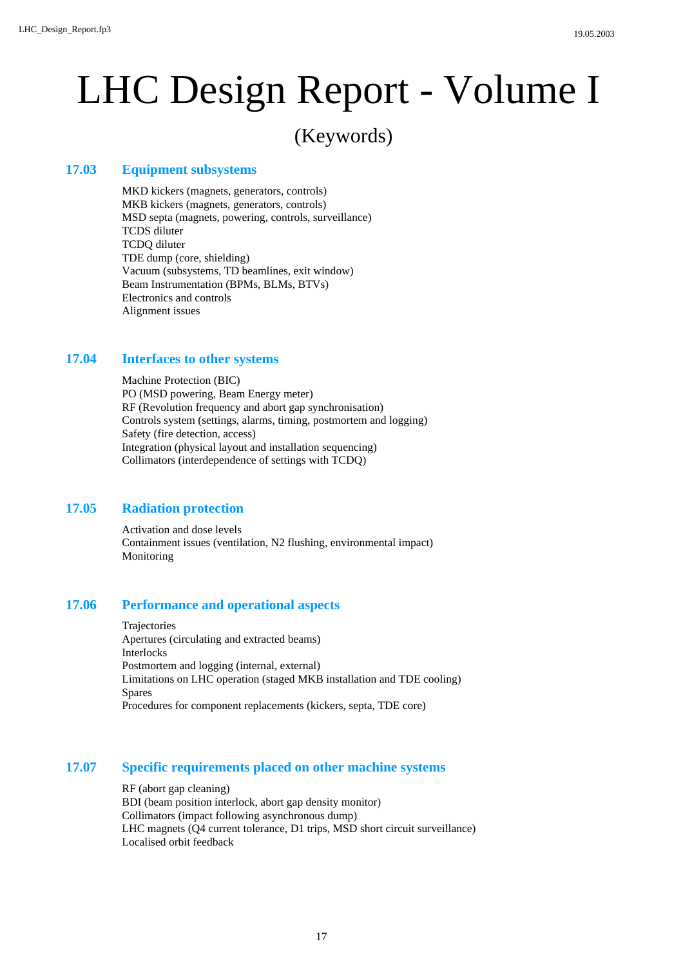## (Keywords)

## **Equipment subsystems 17.03**

MKD kickers (magnets, generators, controls) MKB kickers (magnets, generators, controls) MSD septa (magnets, powering, controls, surveillance) TCDS diluter TCDQ diluter TDE dump (core, shielding) Vacuum (subsystems, TD beamlines, exit window) Beam Instrumentation (BPMs, BLMs, BTVs) Electronics and controls Alignment issues

## **Interfaces to other systems 17.04**

Machine Protection (BIC) PO (MSD powering, Beam Energy meter) RF (Revolution frequency and abort gap synchronisation) Controls system (settings, alarms, timing, postmortem and logging) Safety (fire detection, access) Integration (physical layout and installation sequencing) Collimators (interdependence of settings with TCDQ)

## **Radiation protection 17.05**

Activation and dose levels Containment issues (ventilation, N2 flushing, environmental impact) Monitoring

### **Performance and operational aspects 17.06**

Trajectories Apertures (circulating and extracted beams) Interlocks Postmortem and logging (internal, external) Limitations on LHC operation (staged MKB installation and TDE cooling) Spares Procedures for component replacements (kickers, septa, TDE core)

## **Specific requirements placed on other machine systems 17.07**

RF (abort gap cleaning) BDI (beam position interlock, abort gap density monitor) Collimators (impact following asynchronous dump) LHC magnets (Q4 current tolerance, D1 trips, MSD short circuit surveillance) Localised orbit feedback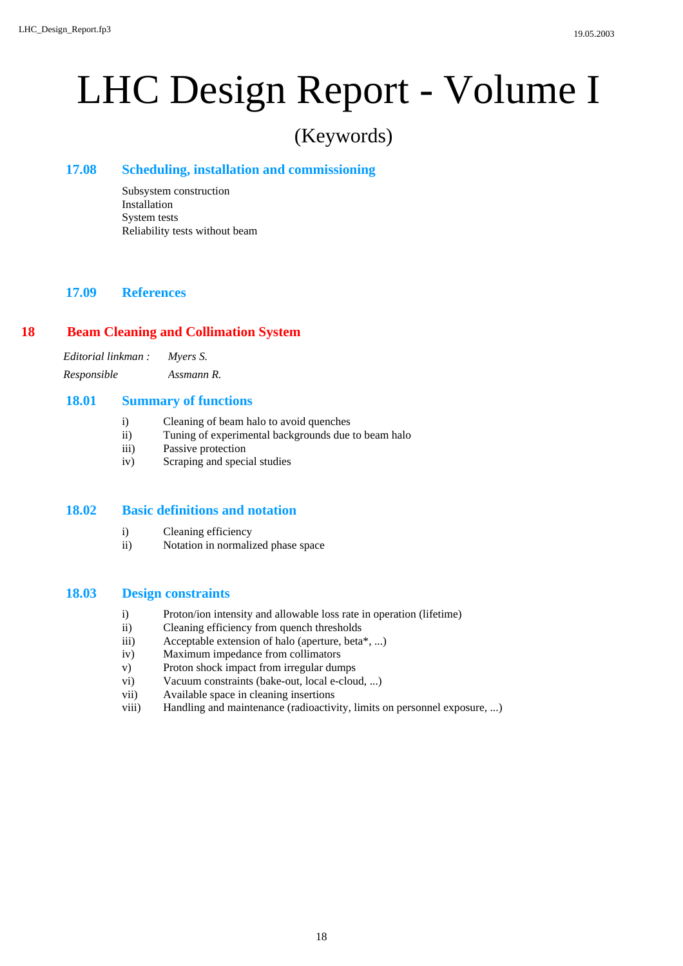## (Keywords)

## **Scheduling, installation and commissioning 17.08**

Subsystem construction Installation System tests Reliability tests without beam

## **17.09 References**

## **Beam Cleaning and Collimation System 18**

*Editorial linkman : Myers S. Responsible Assmann R.*

## **Summary of functions 18.01**

- i) Cleaning of beam halo to avoid quenches
- ii) Tuning of experimental backgrounds due to beam halo
- iii) Passive protection
- iv) Scraping and special studies

## **Basic definitions and notation 18.02**

- i) Cleaning efficiency
- ii) Notation in normalized phase space

## **Design constraints 18.03**

- i) Proton/ion intensity and allowable loss rate in operation (lifetime)
- ii) Cleaning efficiency from quench thresholds
- iii) Acceptable extension of halo (aperture, beta\*, ...)
- iv) Maximum impedance from collimators
- v) Proton shock impact from irregular dumps
- vi) Vacuum constraints (bake-out, local e-cloud, ...)
- vii) Available space in cleaning insertions
- viii) Handling and maintenance (radioactivity, limits on personnel exposure, ...)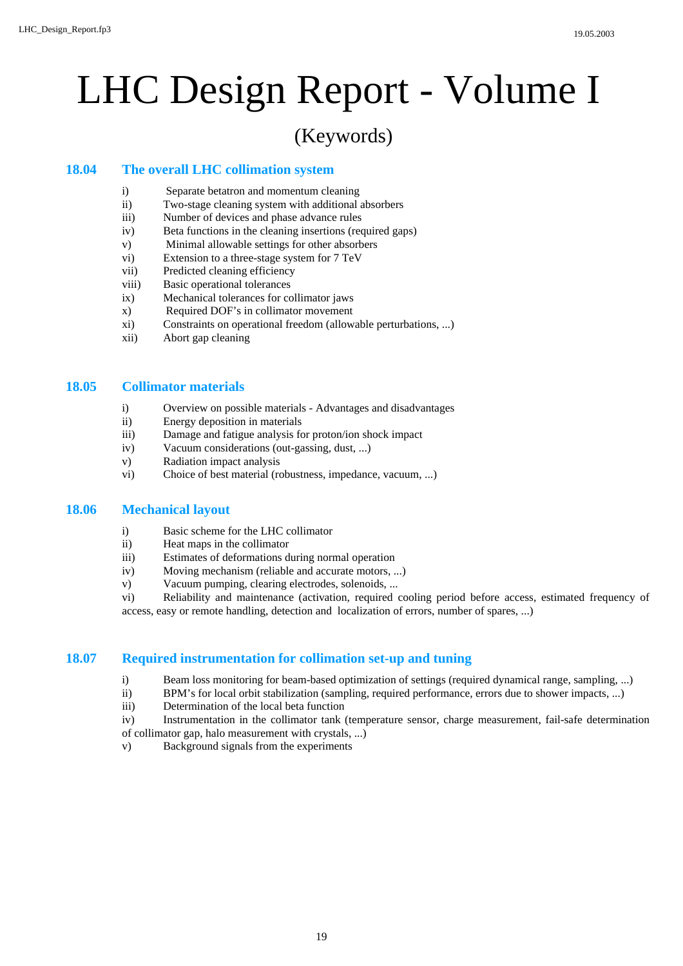## (Keywords)

## **The overall LHC collimation system 18.04**

- i) Separate betatron and momentum cleaning
- ii) Two-stage cleaning system with additional absorbers
- iii) Number of devices and phase advance rules
- iv) Beta functions in the cleaning insertions (required gaps)
- v) Minimal allowable settings for other absorbers
- vi) Extension to a three-stage system for 7 TeV
- vii) Predicted cleaning efficiency
- viii) Basic operational tolerances
- ix) Mechanical tolerances for collimator jaws
- x) Required DOF's in collimator movement
- xi) Constraints on operational freedom (allowable perturbations, ...)
- xii) Abort gap cleaning

## **Collimator materials 18.05**

- i) Overview on possible materials Advantages and disadvantages
- ii) Energy deposition in materials
- iii) Damage and fatigue analysis for proton/ion shock impact
- iv) Vacuum considerations (out-gassing, dust, ...)
- v) Radiation impact analysis
- vi) Choice of best material (robustness, impedance, vacuum, ...)

## **Mechanical layout 18.06**

- i) Basic scheme for the LHC collimator
- ii) Heat maps in the collimator
- iii) Estimates of deformations during normal operation
- iv) Moving mechanism (reliable and accurate motors, ...)
- v) Vacuum pumping, clearing electrodes, solenoids, ...

vi) Reliability and maintenance (activation, required cooling period before access, estimated frequency of access, easy or remote handling, detection and localization of errors, number of spares, ...)

## **Required instrumentation for collimation set-up and tuning 18.07**

- i) Beam loss monitoring for beam-based optimization of settings (required dynamical range, sampling, ...)
- ii) BPM's for local orbit stabilization (sampling, required performance, errors due to shower impacts, ...)
- iii) Determination of the local beta function
- iv) Instrumentation in the collimator tank (temperature sensor, charge measurement, fail-safe determination of collimator gap, halo measurement with crystals, ...)
- v) Background signals from the experiments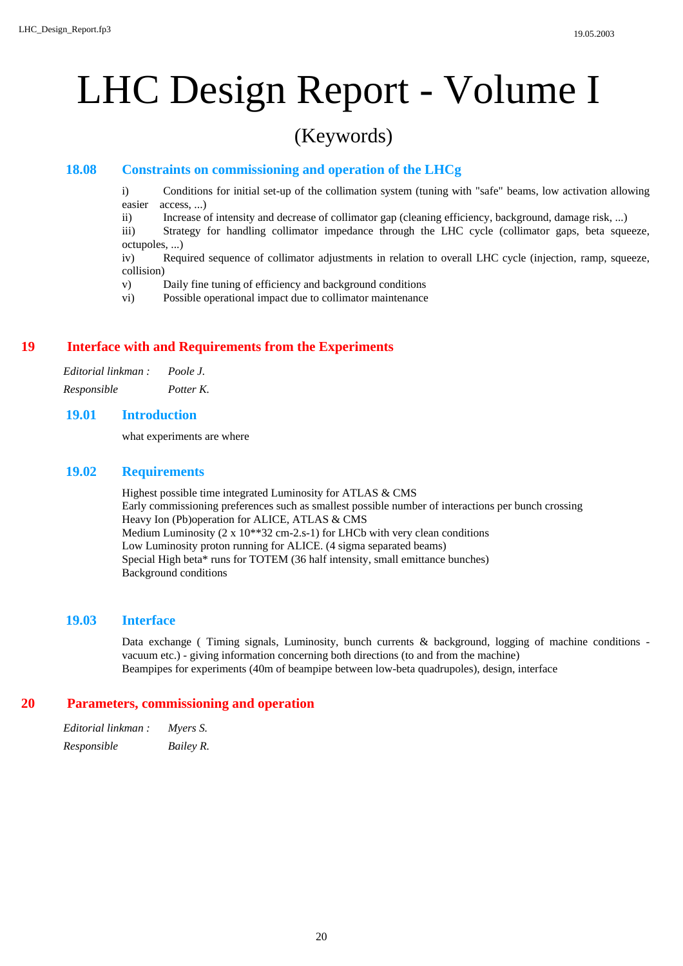## (Keywords)

## **Constraints on commissioning and operation of the LHCg 18.08**

i) Conditions for initial set-up of the collimation system (tuning with "safe" beams, low activation allowing easier access, ...)

ii) Increase of intensity and decrease of collimator gap (cleaning efficiency, background, damage risk, ...)

iii) Strategy for handling collimator impedance through the LHC cycle (collimator gaps, beta squeeze, octupoles, ...)

iv) Required sequence of collimator adjustments in relation to overall LHC cycle (injection, ramp, squeeze, collision)

v) Daily fine tuning of efficiency and background conditions

vi) Possible operational impact due to collimator maintenance

## **Interface with and Requirements from the Experiments 19**

| Editorial linkman : | Poole J.  |
|---------------------|-----------|
| Responsible         | Potter K. |

### **Introduction 19.01**

what experiments are where

## **Requirements 19.02**

Highest possible time integrated Luminosity for ATLAS & CMS Early commissioning preferences such as smallest possible number of interactions per bunch crossing Heavy Ion (Pb)operation for ALICE, ATLAS & CMS Medium Luminosity (2 x 10\*\*32 cm-2.s-1) for LHCb with very clean conditions Low Luminosity proton running for ALICE. (4 sigma separated beams) Special High beta\* runs for TOTEM (36 half intensity, small emittance bunches) Background conditions

### **Interface 19.03**

Data exchange ( Timing signals, Luminosity, bunch currents & background, logging of machine conditions vacuum etc.) - giving information concerning both directions (to and from the machine) Beampipes for experiments (40m of beampipe between low-beta quadrupoles), design, interface

### **Parameters, commissioning and operation 20**

| Editorial linkman : | Myers S.  |
|---------------------|-----------|
| Responsible         | Bailey R. |